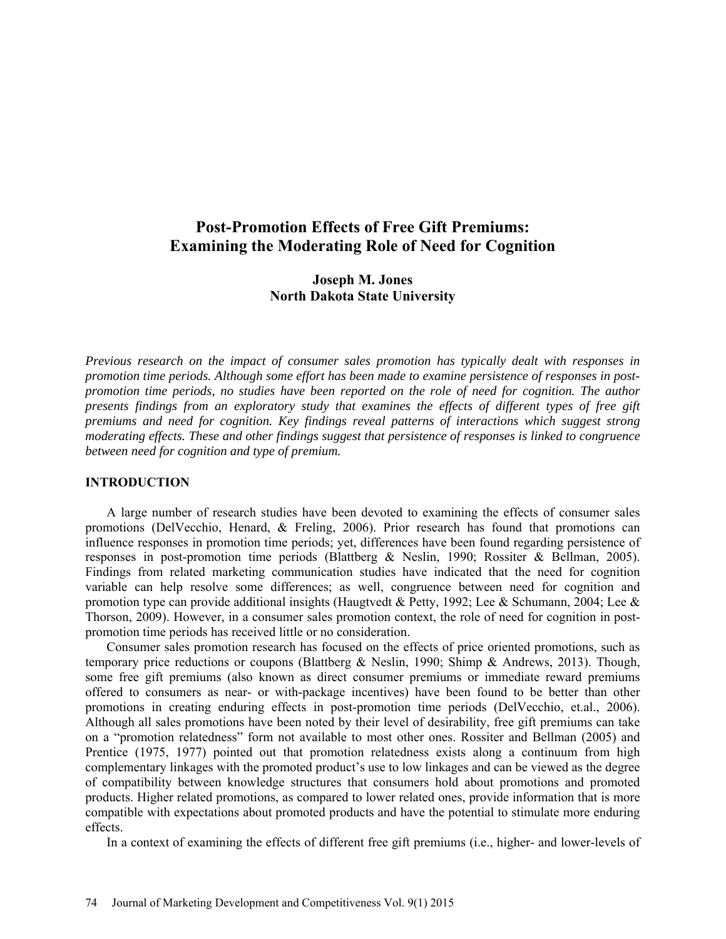# **Post-Promotion Effects of Free Gift Premiums: Examining the Moderating Role of Need for Cognition**

## **Joseph M. Jones North Dakota State University**

*Previous research on the impact of consumer sales promotion has typically dealt with responses in promotion time periods. Although some effort has been made to examine persistence of responses in postpromotion time periods, no studies have been reported on the role of need for cognition. The author presents findings from an exploratory study that examines the effects of different types of free gift premiums and need for cognition. Key findings reveal patterns of interactions which suggest strong moderating effects. These and other findings suggest that persistence of responses is linked to congruence between need for cognition and type of premium.*

### **INTRODUCTION**

A large number of research studies have been devoted to examining the effects of consumer sales promotions (DelVecchio, Henard, & Freling, 2006). Prior research has found that promotions can influence responses in promotion time periods; yet, differences have been found regarding persistence of responses in post-promotion time periods (Blattberg & Neslin, 1990; Rossiter & Bellman, 2005). Findings from related marketing communication studies have indicated that the need for cognition variable can help resolve some differences; as well, congruence between need for cognition and promotion type can provide additional insights (Haugtvedt & Petty, 1992; Lee & Schumann, 2004; Lee & Thorson, 2009). However, in a consumer sales promotion context, the role of need for cognition in postpromotion time periods has received little or no consideration.

Consumer sales promotion research has focused on the effects of price oriented promotions, such as temporary price reductions or coupons (Blattberg & Neslin, 1990; Shimp & Andrews, 2013). Though, some free gift premiums (also known as direct consumer premiums or immediate reward premiums offered to consumers as near- or with-package incentives) have been found to be better than other promotions in creating enduring effects in post-promotion time periods (DelVecchio, et.al., 2006). Although all sales promotions have been noted by their level of desirability, free gift premiums can take on a "promotion relatedness" form not available to most other ones. Rossiter and Bellman (2005) and Prentice (1975, 1977) pointed out that promotion relatedness exists along a continuum from high complementary linkages with the promoted product's use to low linkages and can be viewed as the degree of compatibility between knowledge structures that consumers hold about promotions and promoted products. Higher related promotions, as compared to lower related ones, provide information that is more compatible with expectations about promoted products and have the potential to stimulate more enduring effects.

In a context of examining the effects of different free gift premiums (i.e., higher- and lower-levels of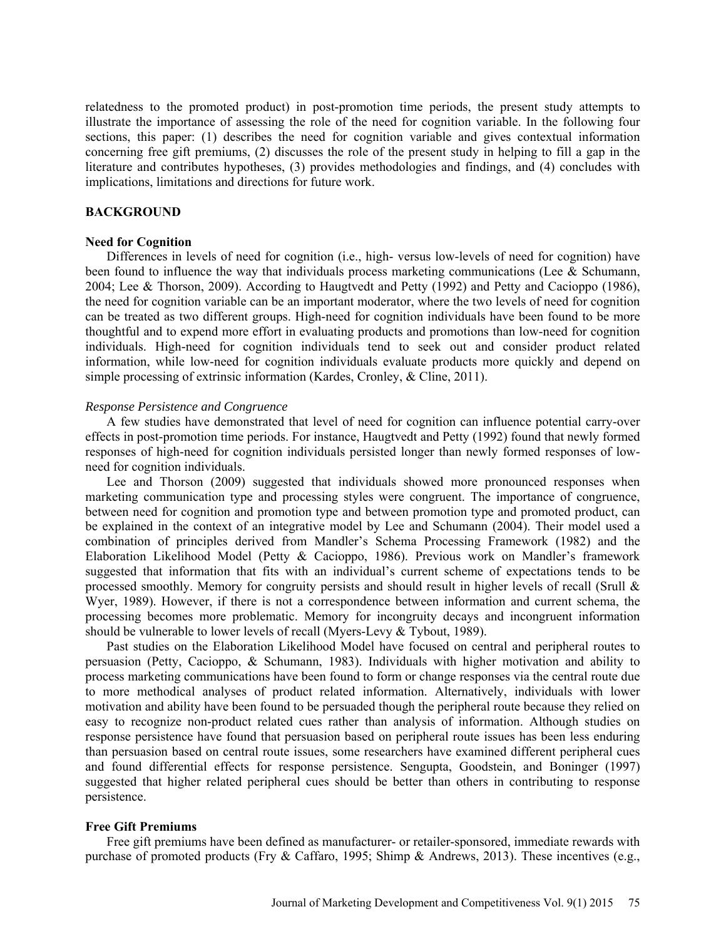relatedness to the promoted product) in post-promotion time periods, the present study attempts to illustrate the importance of assessing the role of the need for cognition variable. In the following four sections, this paper: (1) describes the need for cognition variable and gives contextual information concerning free gift premiums, (2) discusses the role of the present study in helping to fill a gap in the literature and contributes hypotheses, (3) provides methodologies and findings, and (4) concludes with implications, limitations and directions for future work.

### **BACKGROUND**

#### **Need for Cognition**

Differences in levels of need for cognition (i.e., high- versus low-levels of need for cognition) have been found to influence the way that individuals process marketing communications (Lee & Schumann, 2004; Lee & Thorson, 2009). According to Haugtvedt and Petty (1992) and Petty and Cacioppo (1986), the need for cognition variable can be an important moderator, where the two levels of need for cognition can be treated as two different groups. High-need for cognition individuals have been found to be more thoughtful and to expend more effort in evaluating products and promotions than low-need for cognition individuals. High-need for cognition individuals tend to seek out and consider product related information, while low-need for cognition individuals evaluate products more quickly and depend on simple processing of extrinsic information (Kardes, Cronley, & Cline, 2011).

### *Response Persistence and Congruence*

A few studies have demonstrated that level of need for cognition can influence potential carry-over effects in post-promotion time periods. For instance, Haugtvedt and Petty (1992) found that newly formed responses of high-need for cognition individuals persisted longer than newly formed responses of lowneed for cognition individuals.

Lee and Thorson (2009) suggested that individuals showed more pronounced responses when marketing communication type and processing styles were congruent. The importance of congruence, between need for cognition and promotion type and between promotion type and promoted product, can be explained in the context of an integrative model by Lee and Schumann (2004). Their model used a combination of principles derived from Mandler's Schema Processing Framework (1982) and the Elaboration Likelihood Model (Petty & Cacioppo, 1986). Previous work on Mandler's framework suggested that information that fits with an individual's current scheme of expectations tends to be processed smoothly. Memory for congruity persists and should result in higher levels of recall (Srull & Wyer, 1989). However, if there is not a correspondence between information and current schema, the processing becomes more problematic. Memory for incongruity decays and incongruent information should be vulnerable to lower levels of recall (Myers-Levy & Tybout, 1989).

Past studies on the Elaboration Likelihood Model have focused on central and peripheral routes to persuasion (Petty, Cacioppo, & Schumann, 1983). Individuals with higher motivation and ability to process marketing communications have been found to form or change responses via the central route due to more methodical analyses of product related information. Alternatively, individuals with lower motivation and ability have been found to be persuaded though the peripheral route because they relied on easy to recognize non-product related cues rather than analysis of information. Although studies on response persistence have found that persuasion based on peripheral route issues has been less enduring than persuasion based on central route issues, some researchers have examined different peripheral cues and found differential effects for response persistence. Sengupta, Goodstein, and Boninger (1997) suggested that higher related peripheral cues should be better than others in contributing to response persistence.

#### **Free Gift Premiums**

Free gift premiums have been defined as manufacturer- or retailer-sponsored, immediate rewards with purchase of promoted products (Fry & Caffaro, 1995; Shimp & Andrews, 2013). These incentives (e.g.,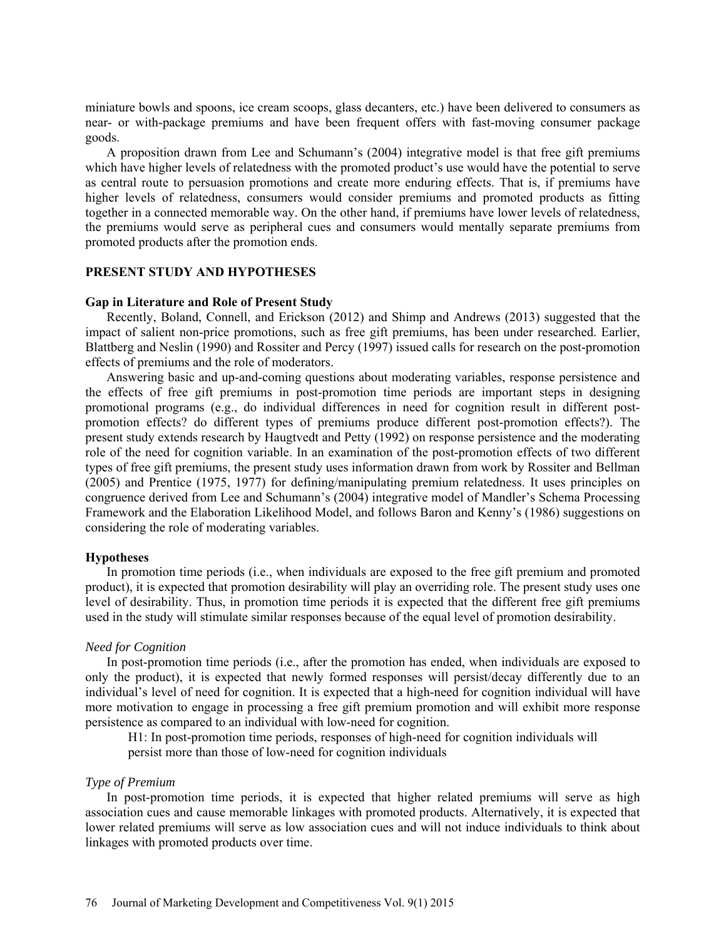miniature bowls and spoons, ice cream scoops, glass decanters, etc.) have been delivered to consumers as near- or with-package premiums and have been frequent offers with fast-moving consumer package goods.

A proposition drawn from Lee and Schumann's (2004) integrative model is that free gift premiums which have higher levels of relatedness with the promoted product's use would have the potential to serve as central route to persuasion promotions and create more enduring effects. That is, if premiums have higher levels of relatedness, consumers would consider premiums and promoted products as fitting together in a connected memorable way. On the other hand, if premiums have lower levels of relatedness, the premiums would serve as peripheral cues and consumers would mentally separate premiums from promoted products after the promotion ends.

### **PRESENT STUDY AND HYPOTHESES**

#### **Gap in Literature and Role of Present Study**

Recently, Boland, Connell, and Erickson (2012) and Shimp and Andrews (2013) suggested that the impact of salient non-price promotions, such as free gift premiums, has been under researched. Earlier, Blattberg and Neslin (1990) and Rossiter and Percy (1997) issued calls for research on the post-promotion effects of premiums and the role of moderators.

Answering basic and up-and-coming questions about moderating variables, response persistence and the effects of free gift premiums in post-promotion time periods are important steps in designing promotional programs (e.g., do individual differences in need for cognition result in different postpromotion effects? do different types of premiums produce different post-promotion effects?). The present study extends research by Haugtvedt and Petty (1992) on response persistence and the moderating role of the need for cognition variable. In an examination of the post-promotion effects of two different types of free gift premiums, the present study uses information drawn from work by Rossiter and Bellman (2005) and Prentice (1975, 1977) for defining/manipulating premium relatedness. It uses principles on congruence derived from Lee and Schumann's (2004) integrative model of Mandler's Schema Processing Framework and the Elaboration Likelihood Model, and follows Baron and Kenny's (1986) suggestions on considering the role of moderating variables.

#### **Hypotheses**

In promotion time periods (i.e., when individuals are exposed to the free gift premium and promoted product), it is expected that promotion desirability will play an overriding role. The present study uses one level of desirability. Thus, in promotion time periods it is expected that the different free gift premiums used in the study will stimulate similar responses because of the equal level of promotion desirability.

#### *Need for Cognition*

In post-promotion time periods (i.e., after the promotion has ended, when individuals are exposed to only the product), it is expected that newly formed responses will persist/decay differently due to an individual's level of need for cognition. It is expected that a high-need for cognition individual will have more motivation to engage in processing a free gift premium promotion and will exhibit more response persistence as compared to an individual with low-need for cognition.

H1: In post-promotion time periods, responses of high-need for cognition individuals will persist more than those of low-need for cognition individuals

### *Type of Premium*

In post-promotion time periods, it is expected that higher related premiums will serve as high association cues and cause memorable linkages with promoted products. Alternatively, it is expected that lower related premiums will serve as low association cues and will not induce individuals to think about linkages with promoted products over time.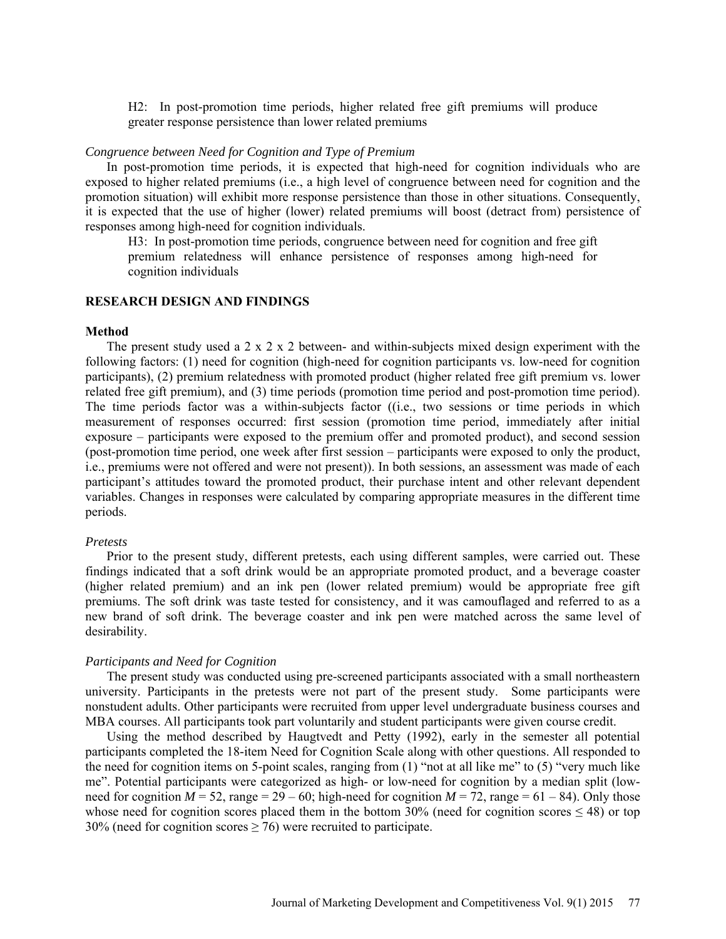H2: In post-promotion time periods, higher related free gift premiums will produce greater response persistence than lower related premiums

### *Congruence between Need for Cognition and Type of Premium*

In post-promotion time periods, it is expected that high-need for cognition individuals who are exposed to higher related premiums (i.e., a high level of congruence between need for cognition and the promotion situation) will exhibit more response persistence than those in other situations. Consequently, it is expected that the use of higher (lower) related premiums will boost (detract from) persistence of responses among high-need for cognition individuals.

H3: In post-promotion time periods, congruence between need for cognition and free gift premium relatedness will enhance persistence of responses among high-need for cognition individuals

### **RESEARCH DESIGN AND FINDINGS**

### **Method**

The present study used a  $2 \times 2 \times 2$  between- and within-subjects mixed design experiment with the following factors: (1) need for cognition (high-need for cognition participants vs. low-need for cognition participants), (2) premium relatedness with promoted product (higher related free gift premium vs. lower related free gift premium), and (3) time periods (promotion time period and post-promotion time period). The time periods factor was a within-subjects factor ((i.e., two sessions or time periods in which measurement of responses occurred: first session (promotion time period, immediately after initial exposure – participants were exposed to the premium offer and promoted product), and second session (post-promotion time period, one week after first session – participants were exposed to only the product, i.e., premiums were not offered and were not present)). In both sessions, an assessment was made of each participant's attitudes toward the promoted product, their purchase intent and other relevant dependent variables. Changes in responses were calculated by comparing appropriate measures in the different time periods.

#### *Pretests*

Prior to the present study, different pretests, each using different samples, were carried out. These findings indicated that a soft drink would be an appropriate promoted product, and a beverage coaster (higher related premium) and an ink pen (lower related premium) would be appropriate free gift premiums. The soft drink was taste tested for consistency, and it was camouflaged and referred to as a new brand of soft drink. The beverage coaster and ink pen were matched across the same level of desirability.

### *Participants and Need for Cognition*

The present study was conducted using pre-screened participants associated with a small northeastern university. Participants in the pretests were not part of the present study. Some participants were nonstudent adults. Other participants were recruited from upper level undergraduate business courses and MBA courses. All participants took part voluntarily and student participants were given course credit.

Using the method described by Haugtvedt and Petty (1992), early in the semester all potential participants completed the 18-item Need for Cognition Scale along with other questions. All responded to the need for cognition items on 5-point scales, ranging from (1) "not at all like me" to (5) "very much like me". Potential participants were categorized as high- or low-need for cognition by a median split (lowneed for cognition  $M = 52$ , range = 29 – 60; high-need for cognition  $M = 72$ , range = 61 – 84). Only those whose need for cognition scores placed them in the bottom  $30\%$  (need for cognition scores  $\leq 48$ ) or top 30% (need for cognition scores  $\geq$  76) were recruited to participate.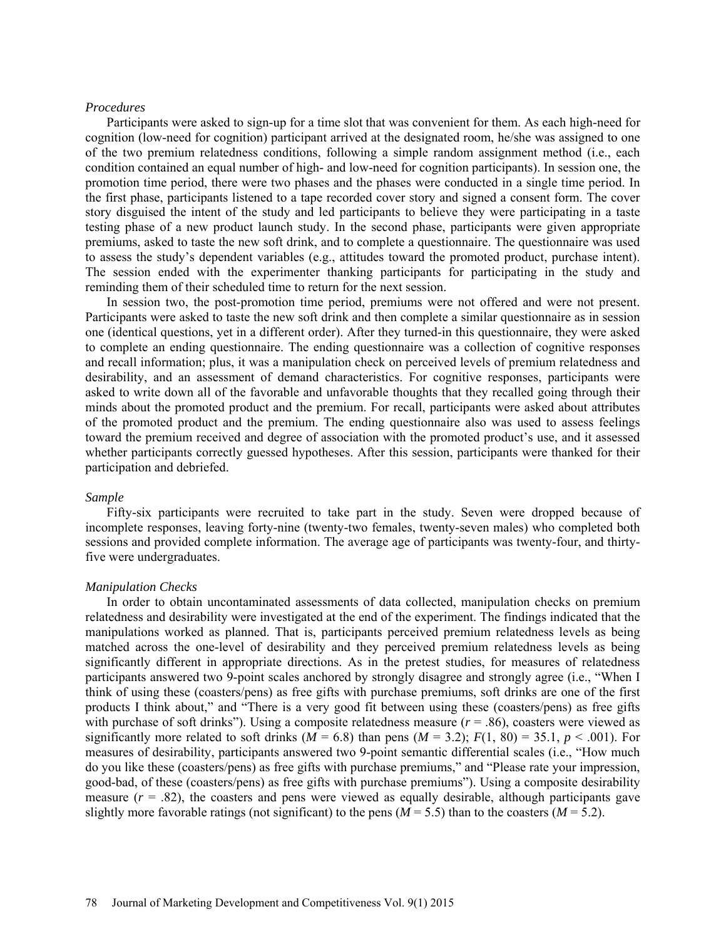### *Procedures*

Participants were asked to sign-up for a time slot that was convenient for them. As each high-need for cognition (low-need for cognition) participant arrived at the designated room, he/she was assigned to one of the two premium relatedness conditions, following a simple random assignment method (i.e., each condition contained an equal number of high- and low-need for cognition participants). In session one, the promotion time period, there were two phases and the phases were conducted in a single time period. In the first phase, participants listened to a tape recorded cover story and signed a consent form. The cover story disguised the intent of the study and led participants to believe they were participating in a taste testing phase of a new product launch study. In the second phase, participants were given appropriate premiums, asked to taste the new soft drink, and to complete a questionnaire. The questionnaire was used to assess the study's dependent variables (e.g., attitudes toward the promoted product, purchase intent). The session ended with the experimenter thanking participants for participating in the study and reminding them of their scheduled time to return for the next session.

In session two, the post-promotion time period, premiums were not offered and were not present. Participants were asked to taste the new soft drink and then complete a similar questionnaire as in session one (identical questions, yet in a different order). After they turned-in this questionnaire, they were asked to complete an ending questionnaire. The ending questionnaire was a collection of cognitive responses and recall information; plus, it was a manipulation check on perceived levels of premium relatedness and desirability, and an assessment of demand characteristics. For cognitive responses, participants were asked to write down all of the favorable and unfavorable thoughts that they recalled going through their minds about the promoted product and the premium. For recall, participants were asked about attributes of the promoted product and the premium. The ending questionnaire also was used to assess feelings toward the premium received and degree of association with the promoted product's use, and it assessed whether participants correctly guessed hypotheses. After this session, participants were thanked for their participation and debriefed.

#### *Sample*

Fifty-six participants were recruited to take part in the study. Seven were dropped because of incomplete responses, leaving forty-nine (twenty-two females, twenty-seven males) who completed both sessions and provided complete information. The average age of participants was twenty-four, and thirtyfive were undergraduates.

#### *Manipulation Checks*

In order to obtain uncontaminated assessments of data collected, manipulation checks on premium relatedness and desirability were investigated at the end of the experiment. The findings indicated that the manipulations worked as planned. That is, participants perceived premium relatedness levels as being matched across the one-level of desirability and they perceived premium relatedness levels as being significantly different in appropriate directions. As in the pretest studies, for measures of relatedness participants answered two 9-point scales anchored by strongly disagree and strongly agree (i.e., "When I think of using these (coasters/pens) as free gifts with purchase premiums, soft drinks are one of the first products I think about," and "There is a very good fit between using these (coasters/pens) as free gifts with purchase of soft drinks"). Using a composite relatedness measure  $(r = .86)$ , coasters were viewed as significantly more related to soft drinks ( $M = 6.8$ ) than pens ( $M = 3.2$ );  $F(1, 80) = 35.1$ ,  $p < .001$ ). For measures of desirability, participants answered two 9-point semantic differential scales (i.e., "How much do you like these (coasters/pens) as free gifts with purchase premiums," and "Please rate your impression, good-bad, of these (coasters/pens) as free gifts with purchase premiums"). Using a composite desirability measure  $(r = .82)$ , the coasters and pens were viewed as equally desirable, although participants gave slightly more favorable ratings (not significant) to the pens  $(M = 5.5)$  than to the coasters  $(M = 5.2)$ .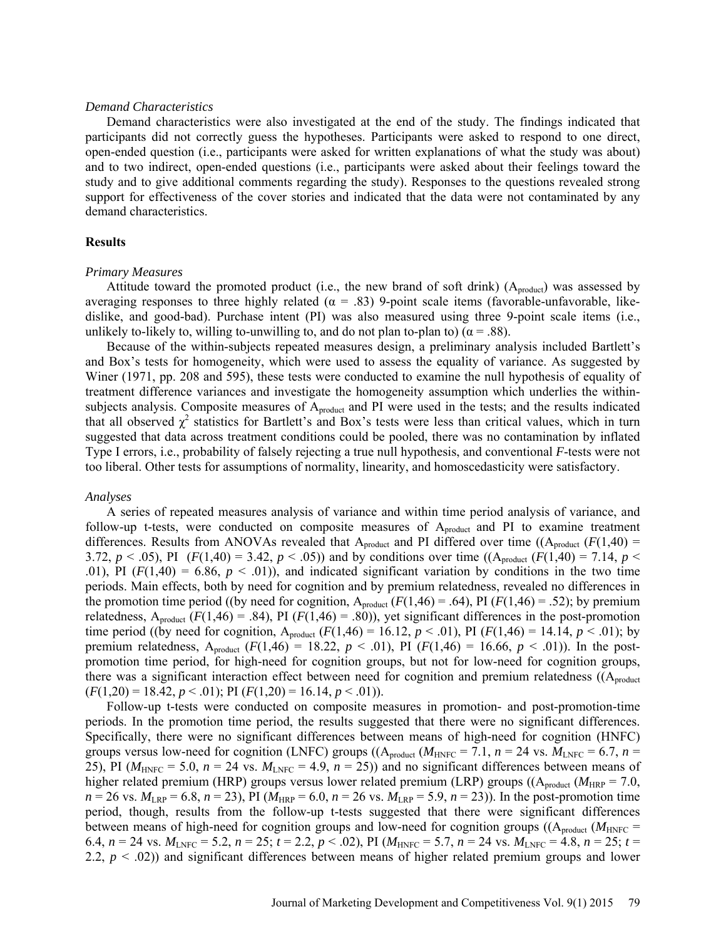#### *Demand Characteristics*

Demand characteristics were also investigated at the end of the study. The findings indicated that participants did not correctly guess the hypotheses. Participants were asked to respond to one direct, open-ended question (i.e., participants were asked for written explanations of what the study was about) and to two indirect, open-ended questions (i.e., participants were asked about their feelings toward the study and to give additional comments regarding the study). Responses to the questions revealed strong support for effectiveness of the cover stories and indicated that the data were not contaminated by any demand characteristics.

### **Results**

#### *Primary Measures*

Attitude toward the promoted product (i.e., the new brand of soft drink)  $(A_{product})$  was assessed by averaging responses to three highly related ( $\alpha$  = .83) 9-point scale items (favorable-unfavorable, likedislike, and good-bad). Purchase intent (PI) was also measured using three 9-point scale items (i.e., unlikely to-likely to, willing to-unwilling to, and do not plan to-plan to) ( $\alpha$  = .88).

Because of the within-subjects repeated measures design, a preliminary analysis included Bartlett's and Box's tests for homogeneity, which were used to assess the equality of variance. As suggested by Winer (1971, pp. 208 and 595), these tests were conducted to examine the null hypothesis of equality of treatment difference variances and investigate the homogeneity assumption which underlies the withinsubjects analysis. Composite measures of A<sub>product</sub> and PI were used in the tests; and the results indicated that all observed  $\chi^2$  statistics for Bartlett's and Box's tests were less than critical values, which in turn suggested that data across treatment conditions could be pooled, there was no contamination by inflated Type I errors, i.e., probability of falsely rejecting a true null hypothesis, and conventional *F*-tests were not too liberal. Other tests for assumptions of normality, linearity, and homoscedasticity were satisfactory.

#### *Analyses*

A series of repeated measures analysis of variance and within time period analysis of variance, and follow-up t-tests, were conducted on composite measures of A<sub>product</sub> and PI to examine treatment differences. Results from ANOVAs revealed that  $A_{product}$  and PI differed over time  $((A_{product} (F(1,40) =$ 3.72,  $p < .05$ ), PI ( $F(1,40) = 3.42$ ,  $p < .05$ )) and by conditions over time (( $A_{product}$   $(F(1,40) = 7.14$ ,  $p < .05$ )) .01), PI  $(F(1,40) = 6.86, p < .01)$ , and indicated significant variation by conditions in the two time periods. Main effects, both by need for cognition and by premium relatedness, revealed no differences in the promotion time period ((by need for cognition,  $A_{product}$   $(F(1,46) = .64)$ , PI  $(F(1,46) = .52)$ ; by premium relatedness,  $A_{product}$  ( $F(1,46) = .84$ ), PI ( $F(1,46) = .80$ )), yet significant differences in the post-promotion time period ((by need for cognition,  $A_{product}$   $(F(1,46) = 16.12, p < .01)$ , PI  $(F(1,46) = 14.14, p < .01)$ ; by premium relatedness,  $A_{product}$  (*F*(1,46) = 18.22, *p* < .01), PI (*F*(1,46) = 16.66, *p* < .01)). In the postpromotion time period, for high-need for cognition groups, but not for low-need for cognition groups, there was a significant interaction effect between need for cognition and premium relatedness  $((A_{product}$  $(F(1,20) = 18.42, p < .01)$ ; PI  $(F(1,20) = 16.14, p < .01)$ ).

Follow-up t-tests were conducted on composite measures in promotion- and post-promotion-time periods. In the promotion time period, the results suggested that there were no significant differences. Specifically, there were no significant differences between means of high-need for cognition (HNFC) groups versus low-need for cognition (LNFC) groups (( $A_{product}$  ( $M_{HNEC}$  = 7.1,  $n = 24$  vs.  $M_{LNEC}$  = 6.7,  $n =$ 25), PI ( $M_{HNFC}$  = 5.0,  $n = 24$  vs.  $M_{LNFC}$  = 4.9,  $n = 25$ )) and no significant differences between means of higher related premium (HRP) groups versus lower related premium (LRP) groups (( $A_{product}$   $(M_{HRP} = 7.0,$  $n = 26$  vs.  $M_{LRP} = 6.8$ ,  $n = 23$ ), PI ( $M_{HRP} = 6.0$ ,  $n = 26$  vs.  $M_{LRP} = 5.9$ ,  $n = 23$ )). In the post-promotion time period, though, results from the follow-up t-tests suggested that there were significant differences between means of high-need for cognition groups and low-need for cognition groups ( $(A_{product} (M_{HNEC} =$ 6.4,  $n = 24$  vs.  $M_{LNFC} = 5.2$ ,  $n = 25$ ;  $t = 2.2$ ,  $p < .02$ ), PI ( $M_{HNFC} = 5.7$ ,  $n = 24$  vs.  $M_{LNFC} = 4.8$ ,  $n = 25$ ;  $t =$ 2.2, *p* < .02)) and significant differences between means of higher related premium groups and lower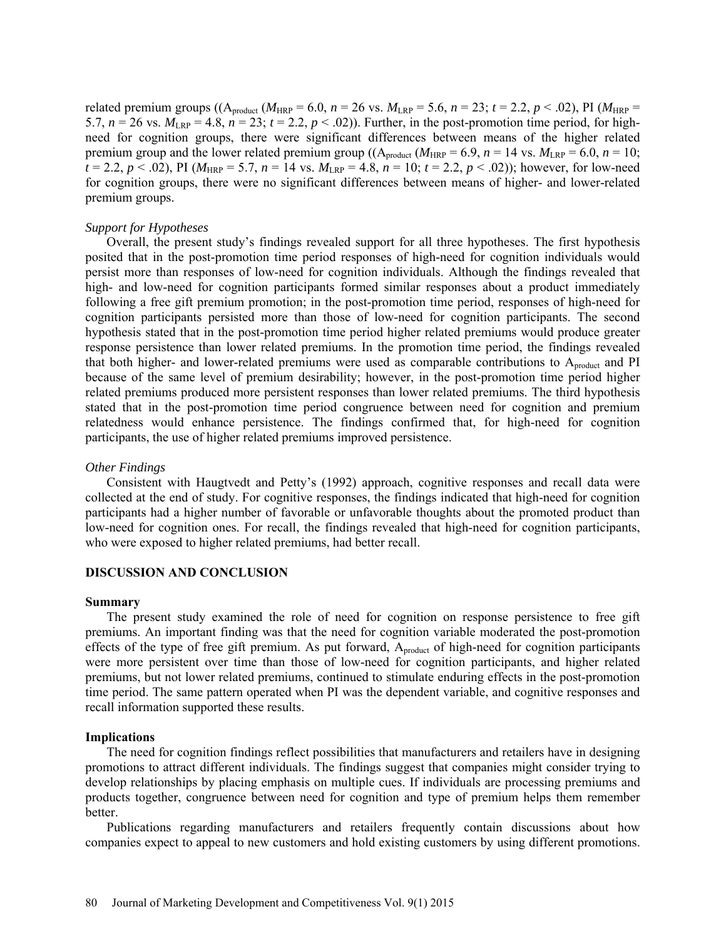related premium groups (( $A_{product}$  ( $M_{HRP}$  = 6.0, *n* = 26 vs.  $M_{LRP}$  = 5.6, *n* = 23; *t* = 2.2, *p* < .02), PI ( $M_{HRP}$  = 5.7,  $n = 26$  vs.  $M_{LRP} = 4.8$ ,  $n = 23$ ;  $t = 2.2$ ,  $p < .02$ )). Further, in the post-promotion time period, for highneed for cognition groups, there were significant differences between means of the higher related premium group and the lower related premium group (( $A_{product}$   $(M_{HRP} = 6.9, n = 14$  vs.  $M_{LRP} = 6.0, n = 10$ ;  $t = 2.2, p < .02$ ), PI ( $M_{HRP} = 5.7, n = 14$  vs.  $M_{LRP} = 4.8, n = 10; t = 2.2, p < .02$ )); however, for low-need for cognition groups, there were no significant differences between means of higher- and lower-related premium groups.

### *Support for Hypotheses*

Overall, the present study's findings revealed support for all three hypotheses. The first hypothesis posited that in the post-promotion time period responses of high-need for cognition individuals would persist more than responses of low-need for cognition individuals. Although the findings revealed that high- and low-need for cognition participants formed similar responses about a product immediately following a free gift premium promotion; in the post-promotion time period, responses of high-need for cognition participants persisted more than those of low-need for cognition participants. The second hypothesis stated that in the post-promotion time period higher related premiums would produce greater response persistence than lower related premiums. In the promotion time period, the findings revealed that both higher- and lower-related premiums were used as comparable contributions to  $A_{product}$  and PI because of the same level of premium desirability; however, in the post-promotion time period higher related premiums produced more persistent responses than lower related premiums. The third hypothesis stated that in the post-promotion time period congruence between need for cognition and premium relatedness would enhance persistence. The findings confirmed that, for high-need for cognition participants, the use of higher related premiums improved persistence.

#### *Other Findings*

Consistent with Haugtvedt and Petty's (1992) approach, cognitive responses and recall data were collected at the end of study. For cognitive responses, the findings indicated that high-need for cognition participants had a higher number of favorable or unfavorable thoughts about the promoted product than low-need for cognition ones. For recall, the findings revealed that high-need for cognition participants, who were exposed to higher related premiums, had better recall.

#### **DISCUSSION AND CONCLUSION**

#### **Summary**

The present study examined the role of need for cognition on response persistence to free gift premiums. An important finding was that the need for cognition variable moderated the post-promotion effects of the type of free gift premium. As put forward,  $A_{product}$  of high-need for cognition participants were more persistent over time than those of low-need for cognition participants, and higher related premiums, but not lower related premiums, continued to stimulate enduring effects in the post-promotion time period. The same pattern operated when PI was the dependent variable, and cognitive responses and recall information supported these results.

#### **Implications**

The need for cognition findings reflect possibilities that manufacturers and retailers have in designing promotions to attract different individuals. The findings suggest that companies might consider trying to develop relationships by placing emphasis on multiple cues. If individuals are processing premiums and products together, congruence between need for cognition and type of premium helps them remember better.

Publications regarding manufacturers and retailers frequently contain discussions about how companies expect to appeal to new customers and hold existing customers by using different promotions.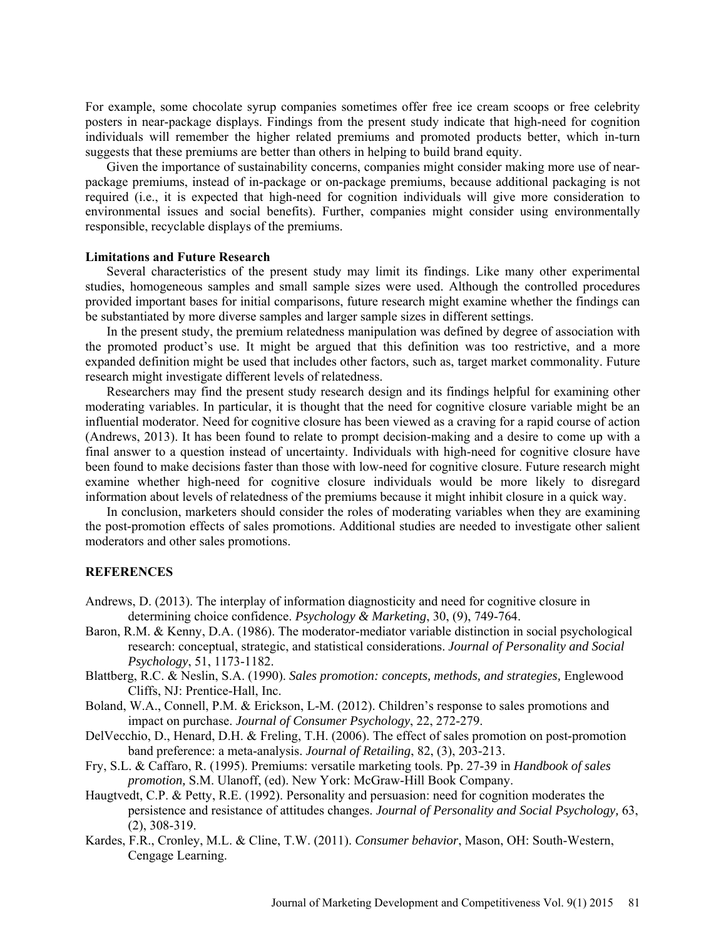For example, some chocolate syrup companies sometimes offer free ice cream scoops or free celebrity posters in near-package displays. Findings from the present study indicate that high-need for cognition individuals will remember the higher related premiums and promoted products better, which in-turn suggests that these premiums are better than others in helping to build brand equity.

Given the importance of sustainability concerns, companies might consider making more use of nearpackage premiums, instead of in-package or on-package premiums, because additional packaging is not required (i.e., it is expected that high-need for cognition individuals will give more consideration to environmental issues and social benefits). Further, companies might consider using environmentally responsible, recyclable displays of the premiums.

#### **Limitations and Future Research**

Several characteristics of the present study may limit its findings. Like many other experimental studies, homogeneous samples and small sample sizes were used. Although the controlled procedures provided important bases for initial comparisons, future research might examine whether the findings can be substantiated by more diverse samples and larger sample sizes in different settings.

In the present study, the premium relatedness manipulation was defined by degree of association with the promoted product's use. It might be argued that this definition was too restrictive, and a more expanded definition might be used that includes other factors, such as, target market commonality. Future research might investigate different levels of relatedness.

Researchers may find the present study research design and its findings helpful for examining other moderating variables. In particular, it is thought that the need for cognitive closure variable might be an influential moderator. Need for cognitive closure has been viewed as a craving for a rapid course of action (Andrews, 2013). It has been found to relate to prompt decision-making and a desire to come up with a final answer to a question instead of uncertainty. Individuals with high-need for cognitive closure have been found to make decisions faster than those with low-need for cognitive closure. Future research might examine whether high-need for cognitive closure individuals would be more likely to disregard information about levels of relatedness of the premiums because it might inhibit closure in a quick way.

In conclusion, marketers should consider the roles of moderating variables when they are examining the post-promotion effects of sales promotions. Additional studies are needed to investigate other salient moderators and other sales promotions.

### **REFERENCES**

- Andrews, D. (2013). The interplay of information diagnosticity and need for cognitive closure in determining choice confidence. *Psychology & Marketing*, 30, (9), 749-764.
- Baron, R.M. & Kenny, D.A. (1986). The moderator-mediator variable distinction in social psychological research: conceptual, strategic, and statistical considerations. *Journal of Personality and Social Psychology*, 51, 1173-1182.
- Blattberg, R.C. & Neslin, S.A. (1990). *Sales promotion: concepts, methods, and strategies,* Englewood Cliffs, NJ: Prentice-Hall, Inc.
- Boland, W.A., Connell, P.M. & Erickson, L-M. (2012). Children's response to sales promotions and impact on purchase. *Journal of Consumer Psychology*, 22, 272-279.
- DelVecchio, D., Henard, D.H. & Freling, T.H. (2006). The effect of sales promotion on post-promotion band preference: a meta-analysis. *Journal of Retailing*, 82, (3), 203-213.
- Fry, S.L. & Caffaro, R. (1995). Premiums: versatile marketing tools. Pp. 27-39 in *Handbook of sales promotion,* S.M. Ulanoff, (ed). New York: McGraw-Hill Book Company.
- Haugtvedt, C.P. & Petty, R.E. (1992). Personality and persuasion: need for cognition moderates the persistence and resistance of attitudes changes. *Journal of Personality and Social Psychology,* 63, (2), 308-319.
- Kardes, F.R., Cronley, M.L. & Cline, T.W. (2011). *Consumer behavior*, Mason, OH: South-Western, Cengage Learning.